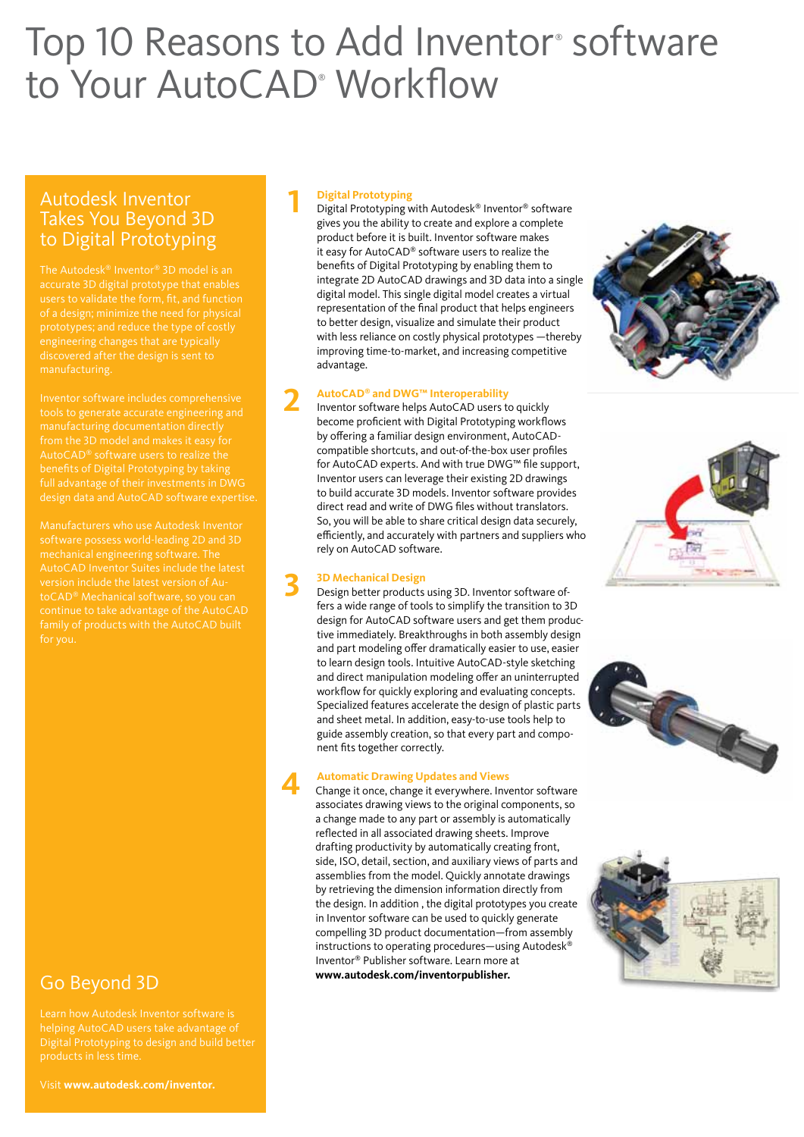# Top 10 Reasons to Add Inventor<sup>®</sup> software to Your AutoCAD<sup>®</sup> Workflow

## Autodesk Inventor Takes You Beyond 3D to Digital Prototyping

accurate 3D digital prototype that enables manufacturing.

Inventor software includes comprehensive AutoCAD® software users to realize the full advantage of their investments in DWG design data and AutoCAD software expertise.

# Go Beyond 3D

Learn how Autodesk Inventor software is helping AutoCAD users take advantage of

**1 Digital Prototyping**<br> **1 Digital Prototyping with Autodesk® Inventor® software** gives you the ability to create and explore a complete product before it is built. Inventor software makes it easy for AutoCAD® software users to realize the benefits of Digital Prototyping by enabling them to integrate 2D AutoCAD drawings and 3D data into a single digital model. This single digital model creates a virtual representation of the final product that helps engineers to better design, visualize and simulate their product with less reliance on costly physical prototypes —thereby improving time-to-market, and increasing competitive advantage.

**2 AutoCAD® and DWG™ Interoperability** Inventor software helps AutoCAD users to quickly become proficient with Digital Prototyping workflows by offering a familiar design environment, AutoCADcompatible shortcuts, and out-of-the-box user profiles for AutoCAD experts. And with true DWG™ file support, Inventor users can leverage their existing 2D drawings to build accurate 3D models. Inventor software provides direct read and write of DWG files without translators. So, you will be able to share critical design data securely, efficiently, and accurately with partners and suppliers who rely on AutoCAD software.

**3D Mechanical Design<br>
<b>3D** Besign better products using 3D. Inventor software offers a wide range of tools to simplify the transition to 3D design for AutoCAD software users and get them productive immediately. Breakthroughs in both assembly design and part modeling offer dramatically easier to use, easier to learn design tools. Intuitive AutoCAD-style sketching and direct manipulation modeling offer an uninterrupted workflow for quickly exploring and evaluating concepts. Specialized features accelerate the design of plastic parts and sheet metal. In addition, easy-to-use tools help to guide assembly creation, so that every part and component fits together correctly.

**4 Automatic Drawing Updates and Views**<br>
Change it once, change it everywhere. Inventor software associates drawing views to the original components, so a change made to any part or assembly is automatically reflected in all associated drawing sheets. Improve drafting productivity by automatically creating front, side, ISO, detail, section, and auxiliary views of parts and assemblies from the model. Quickly annotate drawings by retrieving the dimension information directly from the design. In addition , the digital prototypes you create in Inventor software can be used to quickly generate compelling 3D product documentation—from assembly instructions to operating procedures—using Autodesk® Inventor® Publisher software. Learn more at **www.autodesk.com/inventorpublisher.**